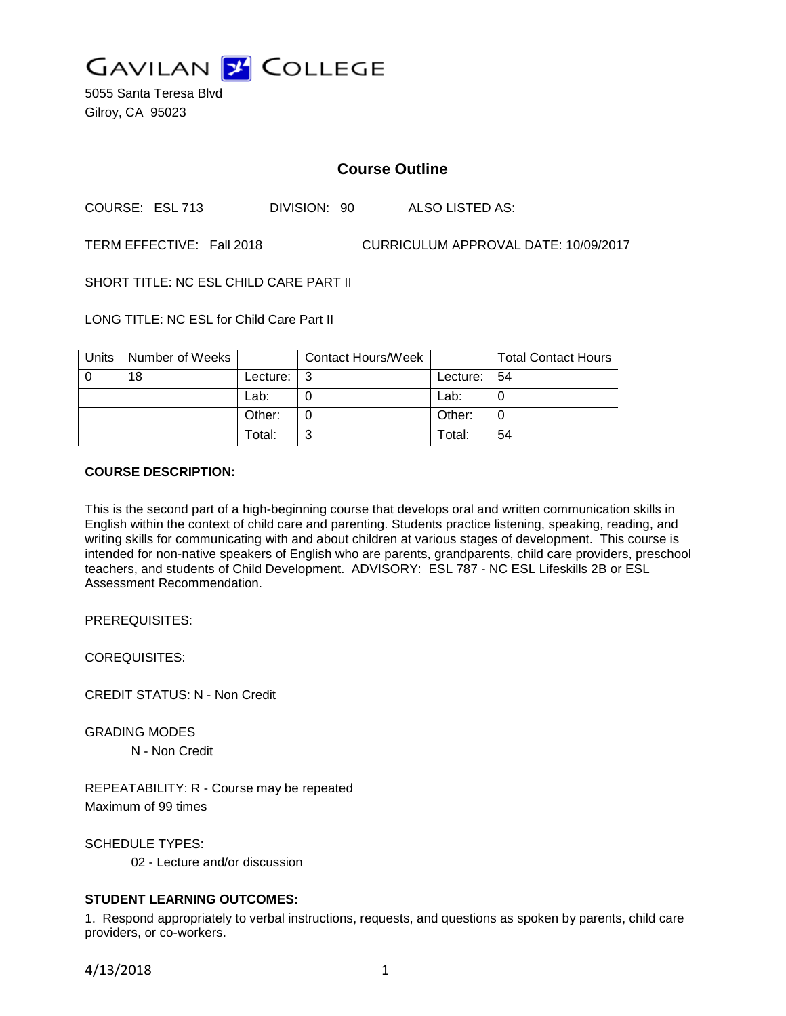

5055 Santa Teresa Blvd Gilroy, CA 95023

# **Course Outline**

COURSE: ESL 713 DIVISION: 90 ALSO LISTED AS:

TERM EFFECTIVE: Fall 2018 CURRICULUM APPROVAL DATE: 10/09/2017

SHORT TITLE: NC ESL CHILD CARE PART II

LONG TITLE: NC ESL for Child Care Part II

| Units | Number of Weeks |          | <b>Contact Hours/Week</b> |               | <b>Total Contact Hours</b> |
|-------|-----------------|----------|---------------------------|---------------|----------------------------|
|       | 18              | Lecture: | l 3                       | Lecture:   54 |                            |
|       |                 | Lab:     |                           | Lab:          |                            |
|       |                 | Other:   |                           | Other:        |                            |
|       |                 | Total:   | ⌒                         | Total:        | 54                         |

### **COURSE DESCRIPTION:**

This is the second part of a high-beginning course that develops oral and written communication skills in English within the context of child care and parenting. Students practice listening, speaking, reading, and writing skills for communicating with and about children at various stages of development. This course is intended for non-native speakers of English who are parents, grandparents, child care providers, preschool teachers, and students of Child Development. ADVISORY: ESL 787 - NC ESL Lifeskills 2B or ESL Assessment Recommendation.

PREREQUISITES:

COREQUISITES:

CREDIT STATUS: N - Non Credit

GRADING MODES N - Non Credit

REPEATABILITY: R - Course may be repeated Maximum of 99 times

SCHEDULE TYPES: 02 - Lecture and/or discussion

# **STUDENT LEARNING OUTCOMES:**

1. Respond appropriately to verbal instructions, requests, and questions as spoken by parents, child care providers, or co-workers.

4/13/2018 1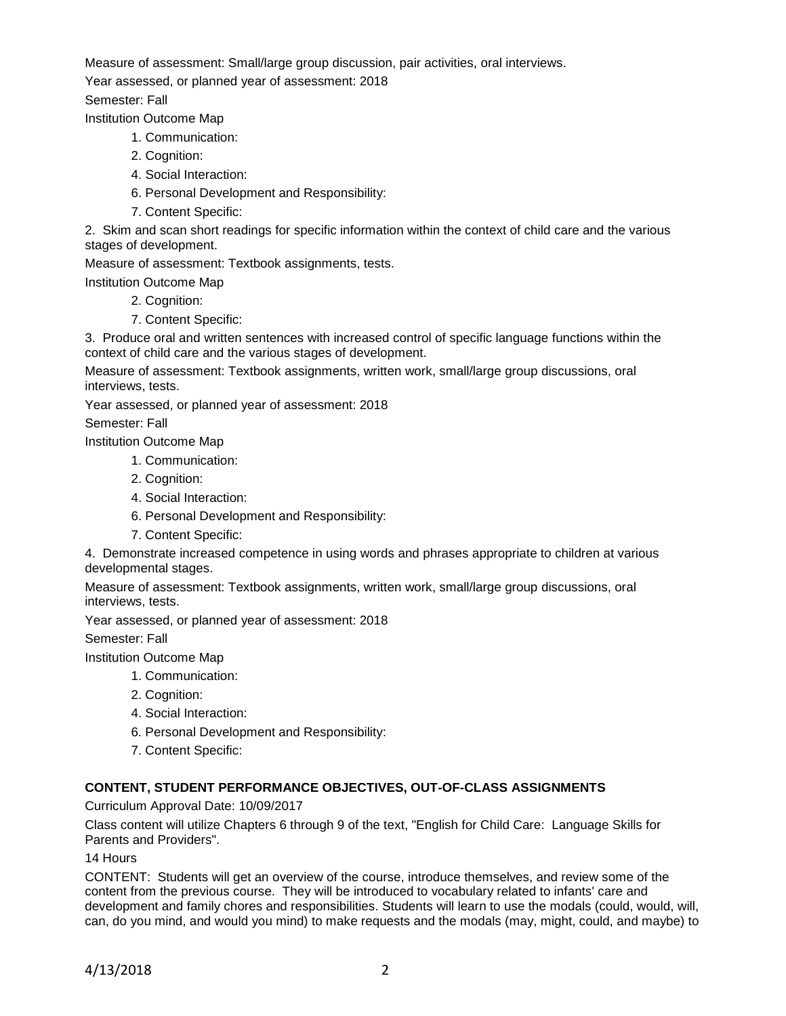Measure of assessment: Small/large group discussion, pair activities, oral interviews.

Year assessed, or planned year of assessment: 2018

Semester: Fall

Institution Outcome Map

- 1. Communication:
- 2. Cognition:
- 4. Social Interaction:
- 6. Personal Development and Responsibility:
- 7. Content Specific:

2. Skim and scan short readings for specific information within the context of child care and the various stages of development.

Measure of assessment: Textbook assignments, tests.

Institution Outcome Map

- 2. Cognition:
- 7. Content Specific:

3. Produce oral and written sentences with increased control of specific language functions within the context of child care and the various stages of development.

Measure of assessment: Textbook assignments, written work, small/large group discussions, oral interviews, tests.

Year assessed, or planned year of assessment: 2018

Semester: Fall

Institution Outcome Map

- 1. Communication:
- 2. Cognition:
- 4. Social Interaction:
- 6. Personal Development and Responsibility:
- 7. Content Specific:

4. Demonstrate increased competence in using words and phrases appropriate to children at various developmental stages.

Measure of assessment: Textbook assignments, written work, small/large group discussions, oral interviews, tests.

Year assessed, or planned year of assessment: 2018

Semester: Fall

Institution Outcome Map

- 1. Communication:
- 2. Cognition:
- 4. Social Interaction:
- 6. Personal Development and Responsibility:
- 7. Content Specific:

# **CONTENT, STUDENT PERFORMANCE OBJECTIVES, OUT-OF-CLASS ASSIGNMENTS**

Curriculum Approval Date: 10/09/2017

Class content will utilize Chapters 6 through 9 of the text, "English for Child Care: Language Skills for Parents and Providers".

14 Hours

CONTENT: Students will get an overview of the course, introduce themselves, and review some of the content from the previous course. They will be introduced to vocabulary related to infants' care and development and family chores and responsibilities. Students will learn to use the modals (could, would, will, can, do you mind, and would you mind) to make requests and the modals (may, might, could, and maybe) to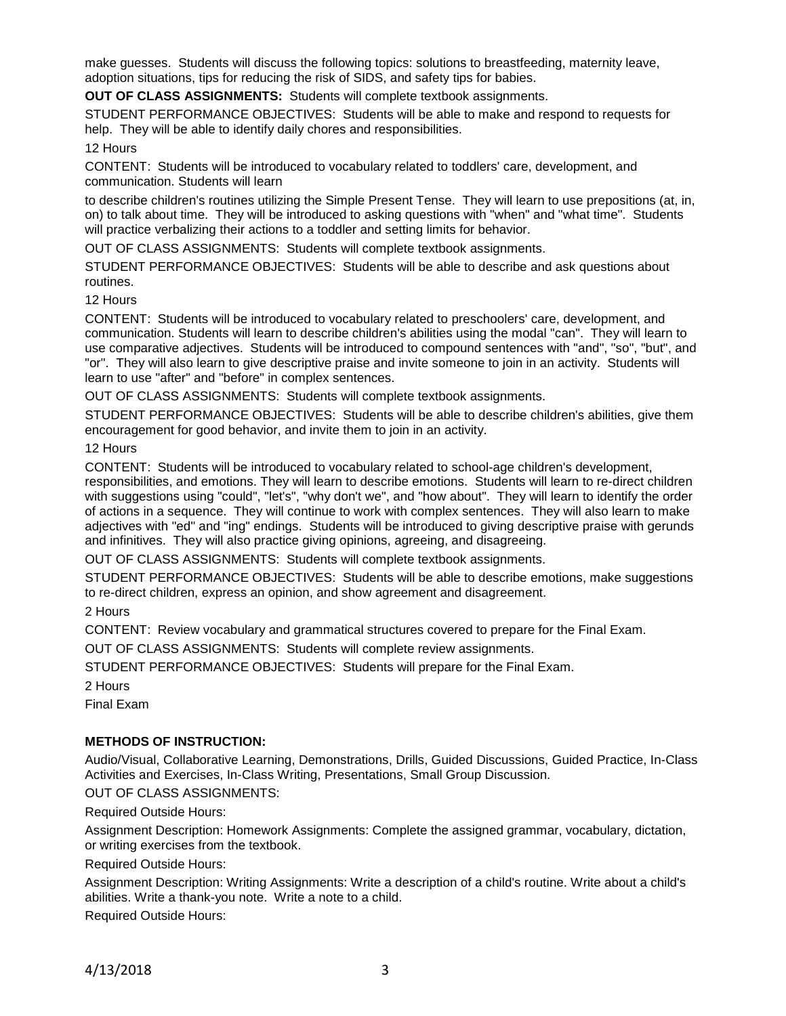make guesses. Students will discuss the following topics: solutions to breastfeeding, maternity leave, adoption situations, tips for reducing the risk of SIDS, and safety tips for babies.

**OUT OF CLASS ASSIGNMENTS:** Students will complete textbook assignments.

STUDENT PERFORMANCE OBJECTIVES: Students will be able to make and respond to requests for help. They will be able to identify daily chores and responsibilities.

### 12 Hours

CONTENT: Students will be introduced to vocabulary related to toddlers' care, development, and communication. Students will learn

to describe children's routines utilizing the Simple Present Tense. They will learn to use prepositions (at, in, on) to talk about time. They will be introduced to asking questions with "when" and "what time". Students will practice verbalizing their actions to a toddler and setting limits for behavior.

OUT OF CLASS ASSIGNMENTS: Students will complete textbook assignments.

STUDENT PERFORMANCE OBJECTIVES: Students will be able to describe and ask questions about routines.

12 Hours

CONTENT: Students will be introduced to vocabulary related to preschoolers' care, development, and communication. Students will learn to describe children's abilities using the modal "can". They will learn to use comparative adjectives. Students will be introduced to compound sentences with "and", "so", "but", and "or". They will also learn to give descriptive praise and invite someone to join in an activity. Students will learn to use "after" and "before" in complex sentences.

OUT OF CLASS ASSIGNMENTS: Students will complete textbook assignments.

STUDENT PERFORMANCE OBJECTIVES: Students will be able to describe children's abilities, give them encouragement for good behavior, and invite them to join in an activity.

12 Hours

CONTENT: Students will be introduced to vocabulary related to school-age children's development,

responsibilities, and emotions. They will learn to describe emotions. Students will learn to re-direct children with suggestions using "could", "let's", "why don't we", and "how about". They will learn to identify the order of actions in a sequence. They will continue to work with complex sentences. They will also learn to make adjectives with "ed" and "ing" endings. Students will be introduced to giving descriptive praise with gerunds and infinitives. They will also practice giving opinions, agreeing, and disagreeing.

OUT OF CLASS ASSIGNMENTS: Students will complete textbook assignments.

STUDENT PERFORMANCE OBJECTIVES: Students will be able to describe emotions, make suggestions to re-direct children, express an opinion, and show agreement and disagreement.

2 Hours

CONTENT: Review vocabulary and grammatical structures covered to prepare for the Final Exam.

OUT OF CLASS ASSIGNMENTS: Students will complete review assignments.

STUDENT PERFORMANCE OBJECTIVES: Students will prepare for the Final Exam.

2 Hours

Final Exam

#### **METHODS OF INSTRUCTION:**

Audio/Visual, Collaborative Learning, Demonstrations, Drills, Guided Discussions, Guided Practice, In-Class Activities and Exercises, In-Class Writing, Presentations, Small Group Discussion.

OUT OF CLASS ASSIGNMENTS:

Required Outside Hours:

Assignment Description: Homework Assignments: Complete the assigned grammar, vocabulary, dictation, or writing exercises from the textbook.

#### Required Outside Hours:

Assignment Description: Writing Assignments: Write a description of a child's routine. Write about a child's abilities. Write a thank-you note. Write a note to a child.

Required Outside Hours: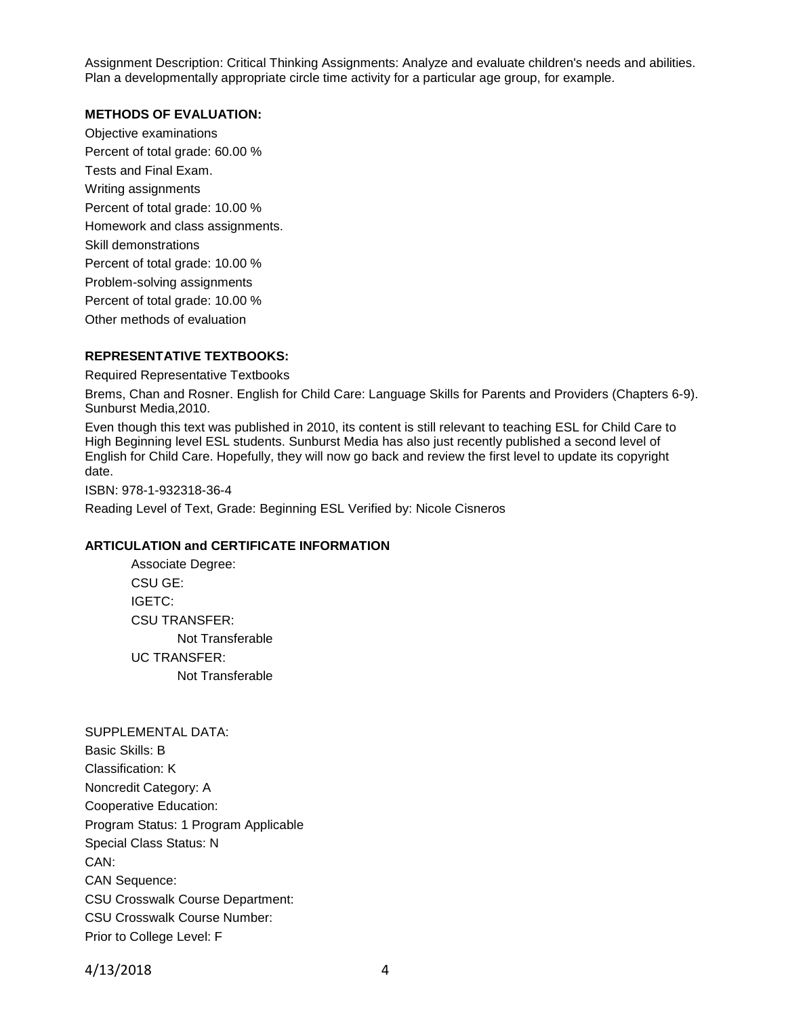Assignment Description: Critical Thinking Assignments: Analyze and evaluate children's needs and abilities. Plan a developmentally appropriate circle time activity for a particular age group, for example.

#### **METHODS OF EVALUATION:**

Objective examinations Percent of total grade: 60.00 % Tests and Final Exam. Writing assignments Percent of total grade: 10.00 % Homework and class assignments. Skill demonstrations Percent of total grade: 10.00 % Problem-solving assignments Percent of total grade: 10.00 % Other methods of evaluation

### **REPRESENTATIVE TEXTBOOKS:**

Required Representative Textbooks

Brems, Chan and Rosner. English for Child Care: Language Skills for Parents and Providers (Chapters 6-9). Sunburst Media,2010.

Even though this text was published in 2010, its content is still relevant to teaching ESL for Child Care to High Beginning level ESL students. Sunburst Media has also just recently published a second level of English for Child Care. Hopefully, they will now go back and review the first level to update its copyright date.

ISBN: 978-1-932318-36-4

Reading Level of Text, Grade: Beginning ESL Verified by: Nicole Cisneros

#### **ARTICULATION and CERTIFICATE INFORMATION**

Associate Degree: CSU GE: IGETC: CSU TRANSFER: Not Transferable UC TRANSFER: Not Transferable

# SUPPLEMENTAL DATA:

Basic Skills: B Classification: K Noncredit Category: A Cooperative Education: Program Status: 1 Program Applicable Special Class Status: N CAN: CAN Sequence: CSU Crosswalk Course Department: CSU Crosswalk Course Number: Prior to College Level: F

4/13/2018 4